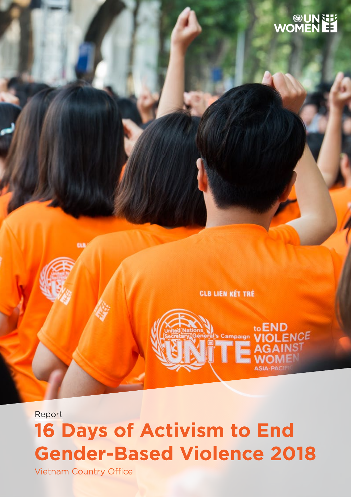

**CLB LIEN KÉT TRÉ** 

to END

**AGAIN** 

IS1



Vietnam Country Office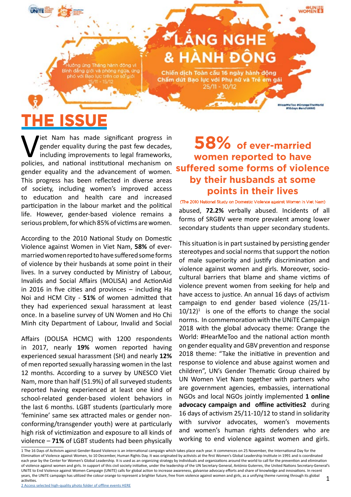**IlHearMeToo #OrangeTheWorld** #16days #endVAWG

ưởng ứng Tháng hành đông vì Bình đẳng giới và phòng ngừa, ứng phó với Bao lực trên cơ sở giới

# LÅNG NGHE **& HÀNH ĐỒNG**

Chiến dịch Toàn cấu 16 ngày hành động Chẩm dứt Bao lực với Phụ nữ và Trẻ em gái  $25/11 - 10/12$ 

# E ISSU

Viet Nam has made significant progress in gender equality during the past few decades, including improvements to legal frameworks, policies, and national institutional mechanism on gender equality during the past few decades, including improvements to legal frameworks, policies, and national institutional mechanism on gender equality and the advancement of women. This progress has been reflected in diverse areas of society, including women's improved access to education and health care and increased participation in the labour market and the political life. However, gender-based violence remains a serious problem, for which 85% of victims are women.

According to the 2010 National Study on Domestic Violence against Women in Viet Nam, **58%** of evermarried women reported to have suffered some forms of violence by their husbands at some point in their lives. In a survey conducted by Ministry of Labour, Invalids and Social Affairs (MOLISA) and ActionAid in 2016 in five cities and provinces – including Ha Noi and HCM City - **51%** of women admitted that they had experienced sexual harassment at least once. In a baseline survey of UN Women and Ho Chi Minh city Department of Labour, Invalid and Social

Affairs (DOLISA HCMC) with 1200 respondents in 2017, nearly **19%** women reported having experienced sexual harassment (SH) and nearly **12%** of men reported sexually harassing women in the last 12 months. According to a survey by UNESCO Viet Nam, more than half (51.9%) of all surveyed students reported having experienced at least one kind of school-related gender-based violent behaviors in the last 6 months. LGBT students (particularly more 'feminine' same sex attracted males or gender nonconforming/transgender youth) were at particularly high risk of victimization and exposure to all kinds of violence – **71%** of LGBT students had been physically

### **58% of ever-married women reported to have suffered some forms of violence by their husbands at some points in their lives**

abused, **72.2%** verbally abused. Incidents of all forms of SRGBV were more prevalent among lower secondary students than upper secondary students. (The 2010 National Study on Domestic Violence against Women in Viet Nam)

This situation is in part sustained by persisting gender stereotypes and social norms that support the notion of male superiority and justify discrimination and violence against women and girls. Moreover, sociocultural barriers that blame and shame victims of violence prevent women from seeking for help and have access to justice. An annual 16 days of activism campaign to end gender based violence (25/11-  $10/12$ <sup>1</sup> is one of the efforts to change the social norms. In commemoration with the UNiTE Campaign 2018 with the global advocacy theme: Orange the World: #HearMeToo and the national action month on gender equality and GBV prevention and response 2018 theme: "Take the initiative in prevention and response to violence and abuse against women and children", UN's Gender Thematic Group chaired by UN Women Viet Nam together with partners who are government agencies, embassies, international NGOs and local NGOs jointly implemented **1 online advocacy campaign and offline activities2** during 16 days of activism 25/11-10/12 to stand in solidarity with survivor advocates, women's movements and women's human rights defenders who are working to end violence against women and girls.

1 The 16 Days of Activism against Gender-Based Violence is an international campaign which takes place each year. It commences on 25 November, the International Day for the Elimination of Violence against Women, to 10 December, Human Rights Day. It was originated by activists at the first Women's Global Leadership Institute in 1991 and is coordinated each year by the Center for Women's Global Leadership. It is used as an organizing strategy by individuals and organizations around the world to call for the prevention and elimination of violence against women and girls. In support of this civil society initiative, under the leadership of the UN Secretary General, António Guterres, the United Nations Secretary-General's UNiTE to End Violence against Women Campaign (UNiTE) calls for global action to increase awareness, galvanise advocacy efforts and share of knowledge and innovations. In recent years, the UNITE campaign has utilized the colour orange to represent a brighter future, free from violence against women and girls, as a unifying theme running through its global activities. 1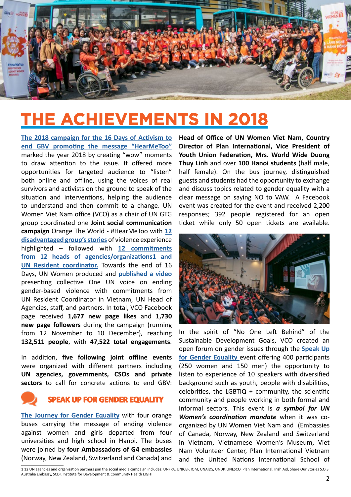

## **THE ACHIEVEMENTS IN 2018**

**[The 2018 campaign for the 16 Days of Activism to](https://www.facebook.com/unwomenvietnam/videos/1957542937884503/)  [end GBV promoting the message "HearMeToo"](https://www.facebook.com/unwomenvietnam/videos/1957542937884503/)** marked the year 2018 by creating "wow" moments to draw attention to the issue. It offered more opportunities for targeted audience to "listen" both online and offline, using the voices of real survivors and activists on the ground to speak of the situation and interventions, helping the audience to understand and then commit to a change. UN Women Viet Nam office (VCO) as a chair of UN GTG group coordinated one **Joint social communication campaign** Orange The World - #HearMeToo with **[12](https://www.facebook.com/unwomenvietnam/playlist/281217189252015)  [disadvantaged group's stories](https://www.facebook.com/unwomenvietnam/playlist/281217189252015)** of violence experience highlighted – followed with **[12 commitments](https://www.facebook.com/unwomenvietnam/videos/391744688231156/)  [from 12 heads of agencies/organizations](https://www.facebook.com/unwomenvietnam/videos/391744688231156/)1 and [UN Resident coordinator](https://www.facebook.com/unwomenvietnam/videos/391744688231156/).** Towards the end of 16 Days, UN Women produced and **[published a video](https://www.facebook.com/unwomenvietnam/videos/391744688231156)** presenting collective One UN voice on ending gender-based violence with commitments from UN Resident Coordinator in Vietnam, UN Head of Agencies, staff, and partners. In total, VCO Facebook page received **1,677 new page likes** and **1,730 new page followers** during the campaign (running from 12 November to 10 December), reaching **132,511 people**, with **47,522 total engagements**.

In addition, **five following joint offline events** were organized with different partners including **UN agencies, governments, CSOs and private sectors** to call for concrete actions to end GBV:



#### **SPEAK UP FOR GENDER EQUALITY**

**[The Journey for Gender Equality](https://www.facebook.com/unwomenvietnam/videos/1957542937884503/)** with four orange buses carrying the message of ending violence against women and girls departed from four universities and high school in Hanoi. The buses were joined by **four Ambassadors of G4 embassies** (Norway, New Zealand, Switzerland and Canada) and **Head of Office of UN Women Viet Nam, Country Director of Plan International, Vice President of Youth Union Federation, Mrs. World Wide Duong Thuy Linh** and over **100 Hanoi students** (half male, half female). On the bus journey, distinguished guests and students had the opportunity to exchange and discuss topics related to gender equality with a clear message on saying NO to VAW. A Facebook event was created for the event and received 2,200 responses; 392 people registered for an open ticket while only 50 open tickets are available.



In the spirit of "No One Left Behind" of the Sustainable Development Goals, VCO created an open forum on gender issues through the **[Speak Up](https://www.facebook.com/unwomenvietnam/videos/1957542937884503/) [for Gender Equality](https://www.facebook.com/unwomenvietnam/videos/1957542937884503/)** event offering 400 participants (250 women and 150 men) the opportunity to listen to experience of 10 speakers with diversified background such as youth, people with disabilities, celebrities, the LGBTIQ  $+$  community, the scientific community and people working in both formal and informal sectors. This event is *a symbol for UN Women's coordination mandate* when it was coorganized by UN Women Viet Nam and (Embassies of Canada, Norway, New Zealand and Switzerland in Vietnam, Vietnamese Women's Museum, Viet Nam Volunteer Center, Plan International Vietnam and the United Nations International School of

1 12 UN agencies and organization partners join the social media campaign includes: UNFPA, UNICEF, IOM, UNAIDS, UNDP, UNESCO, Plan International, Irish Aid, Share Our Stories S.O.S, Australia Embassy, SCDI, Institute for Development & Community Health LIGHT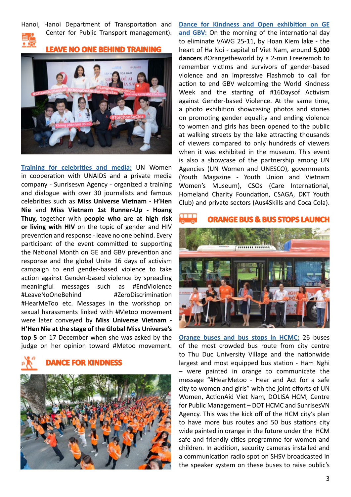Hanoi, Hanoi Department of Transportation and Center for Public Transport management).



**LEAVE NO ONE BEHIND TRAINING** 



**[Training for celebrities and media](https://www.facebook.com/unwomenvietnam/videos/2322213667819897/):** UN Women in cooperation with UNAIDS and a private media company - Sunrisesvn Agency - organized a training and dialogue with over 30 journalists and famous celebrities such as **Miss Universe Vietnam - H'Hen Nie** and **Miss Vietnam 1st Runner-Up - Hoang Thuy,** together with **people who are at high risk or living with HIV** on the topic of gender and HIV prevention and response - leave no one behind. Every participant of the event committed to supporting the National Month on GE and GBV prevention and response and the global Unite 16 days of activism campaign to end gender-based violence to take action against Gender-based violence by spreading meaningful messages such as #EndViolence #LeaveNoOneBehind #ZeroDiscrimination #HearMeToo etc. Messages in the workshop on sexual harassments linked with #Metoo movement were later conveyed by **Miss Universe Vietnam - H'Hen Nie at the stage of the Global Miss Universe's top 5** on 17 December when she was asked by the judge on her opinion toward #Metoo movement.

**DANCE FOR KINDNESS**



**[Dance for Kindness and Open exhibition on GE](https://www.facebook.com/unwomenvietnam/videos/1957542937884503/) [and GBV:](https://www.facebook.com/unwomenvietnam/videos/1957542937884503/)** On the morning of the international day to eliminate VAWG 25-11, by Hoan Kiem lake - the heart of Ha Noi - capital of Viet Nam, around **5,000 dancers** #Orangetheworld by a 2-min Freezemob to remember victims and survivors of gender-based violence and an impressive Flashmob to call for action to end GBV welcoming the World Kindness Week and the starting of #16Daysof Activism against Gender-based Violence. At the same time, a photo exhibition showcasing photos and stories on promoting gender equality and ending violence to women and girls has been opened to the public at walking streets by the lake attracting thousands of viewers compared to only hundreds of viewers when it was exhibited in the museum. This event is also a showcase of the partnership among UN Agencies (UN Women and UNESCO), governments (Youth Magazine - Youth Union and Vietnam Women's Museum), CSOs (Care International, Homeland Charity Foundation, CSAGA, DKT Youth Club) and private sectors (Aus4Skills and Coca Cola).

### **ORANGE BUS & BUS STOPS LAUNCH**



**[Orange buses and bus stops in HCMC:](https://en.vietnamplus.vn/solutions-to-end-sexual-harassment-against-women-girls-in-public/142679.vnp)** 26 buses of the most crowded bus route from city centre to Thu Duc University Village and the nationwide largest and most equipped bus station - Ham Nghi – were painted in orange to communicate the message "#HearMetoo - Hear and Act for a safe city to women and girls" with the joint efforts of UN Women, ActionAid Viet Nam, DOLISA HCM, Centre for Public Management – DOT HCMC and SunrisesVN Agency. This was the kick off of the HCM city's plan to have more bus routes and 50 bus stations city wide painted in orange in the future under the HCM safe and friendly cities programme for women and children. In addition, security cameras installed and a communication radio spot on SHSV broadcasted in the speaker system on these buses to raise public's